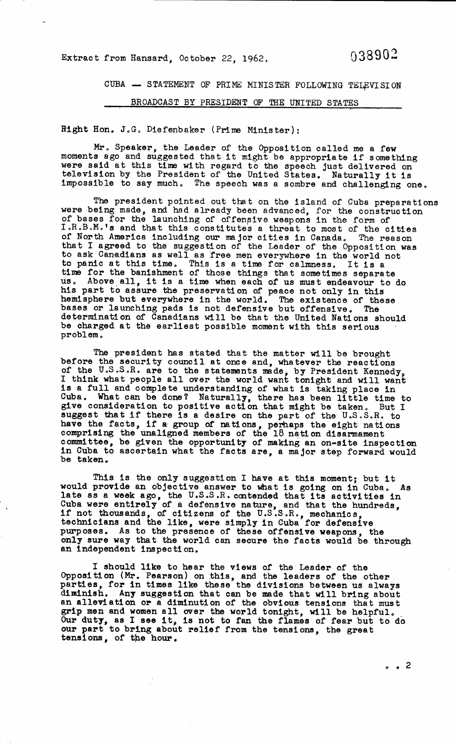Extract from Hansard, October 22, 1962.

CUBA - STATEMENT OF PRIME MINISTER FOLLOWING TELEVISION

BROADCAST BY PRESIDENT OF THE UNITED STATES

Fight Hon. J.G. Diefenbaker (Prime Minister):

Mr. Speaker, the Leader of the Opposition called me a few moments ago and suggested that it might be appropriate if something were said at this time with regard to the speech just delivered on television by the President of the United States. Naturally it is<br>impossible to say much. The speech was a sombre and challenging on The speech was a sombre and challenging one.

The president pointed out that on the island of Cuba preparations were being made, and had already been advanced, for the construction of bases for the launching of offensive weapons in the form of  $L_3$  $R_3$  $B_3$  $M_3$ 's and that this constitutes a threat to most of the cities of North America including our major cities in Canada. The reason of North America including our major cities in Canada. The reason that I agreed to the suggestion of the Leader of the Opposition was to ask Canadians as well as free men everywhere in the world not to panic at this time. This is a time for calmness. It is a time for the banishment of those things that sometimes separate us. Above all, it is a time when each of us must endeavour to do his part to assure the preservation of peace not only in this hemisphere but everywhere in the world. The existence of these bases or launching pads is not defensive but offensive. The determination of Canadians will be that the United Nations should be charged at the earliest possible moment with this serious problem.

The president has stated that the matter will be brought before the security council at once and, whatever the reactions of the U.S.SoR. are to the statements made, by President Kennedy, I think what people allover the world want tonight and will want is a full and complete understanding of what is taking place in Cuba. What can be done? Naturally, there has been little time to give consideration to positive action that might be taken. But I suggest that if there is a desire on the part of the U.S.S.R. to have the facts, if a group of nations, perhaps the eight nations comprising the unaligned members of the  $18$  nation disarmament committee, be given the opportunity of making an on-site inspection in Cuba to ascertain what the facts are, a major step forward would be taken.

This is the only suggestion I have at this moment; but it would provide an objective answer to what is going on in Cuba. As late as a week ago, the U.S.S.R. contended that its activities in luba were entirely of a defensive nature, and that the hundreds, if not thousands, of citizens of the U.S.S.Ro, mechanics,  $t$ echnicians and the like, were simply in Cuba for defensive purposes. As to the presence of these offensive weapons, the only sure way that the world can secure the facts would be through an independent inspection.

I should like to hear the views of the Leader of the Opposition (Mr. Pearson) on this, and the leaders of the other parties, for in times like these the divisions between us always diminish. Any suggestion that can be made that will bring about an alleviation or a diminution of the obvious tensions that must grip men and women all over the world tonight, will be helpful. Our duty, as I see it, is not to fan the flames of fear but to do our part to bring about relief from the tensions, the great tensions, of the hour.

 $\bullet$   $\bullet$  2